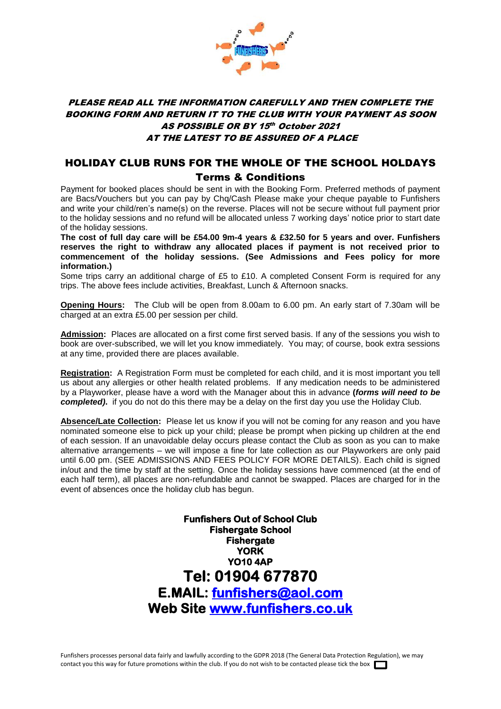

## PLEASE READ ALL THE INFORMATION CAREFULLY AND THEN COMPLETE THE BOOKING FORM AND RETURN IT TO THE CLUB WITH YOUR PAYMENT AS SOON AS POSSIBLE OR BY 15th October 2021 AT THE LATEST TO BE ASSURED OF A PLACE

## HOLIDAY CLUB RUNS FOR THE WHOLE OF THE SCHOOL HOLDAYS Terms & Conditions

Payment for booked places should be sent in with the Booking Form. Preferred methods of payment are Bacs/Vouchers but you can pay by Chq/Cash Please make your cheque payable to Funfishers and write your child/ren's name(s) on the reverse. Places will not be secure without full payment prior to the holiday sessions and no refund will be allocated unless 7 working days' notice prior to start date of the holiday sessions.

**The cost of full day care will be £54.00 9m-4 years & £32.50 for 5 years and over. Funfishers reserves the right to withdraw any allocated places if payment is not received prior to commencement of the holiday sessions. (See Admissions and Fees policy for more information.)**

Some trips carry an additional charge of £5 to £10. A completed Consent Form is required for any trips. The above fees include activities, Breakfast, Lunch & Afternoon snacks.

**Opening Hours:** The Club will be open from 8.00am to 6.00 pm. An early start of 7.30am will be charged at an extra £5.00 per session per child.

**Admission:** Places are allocated on a first come first served basis. If any of the sessions you wish to book are over-subscribed, we will let you know immediately. You may; of course, book extra sessions at any time, provided there are places available.

**Registration:** A Registration Form must be completed for each child, and it is most important you tell us about any allergies or other health related problems. If any medication needs to be administered by a Playworker, please have a word with the Manager about this in advance **(***forms will need to be completed)***.** if you do not do this there may be a delay on the first day you use the Holiday Club.

**Absence/Late Collection:** Please let us know if you will not be coming for any reason and you have nominated someone else to pick up your child; please be prompt when picking up children at the end of each session. If an unavoidable delay occurs please contact the Club as soon as you can to make alternative arrangements – we will impose a fine for late collection as our Playworkers are only paid until 6.00 pm. (SEE ADMISSIONS AND FEES POLICY FOR MORE DETAILS). Each child is signed in/out and the time by staff at the setting. Once the holiday sessions have commenced (at the end of each half term), all places are non-refundable and cannot be swapped. Places are charged for in the event of absences once the holiday club has begun.

> **Funfishers Out of School Club Fishergate School Fishergate YORK YO10 4AP Tel: 01904 677870 E.MAIL: [funfishers@aol.com](mailto:funfishers@aol.com)  Web Site [www.funfishers.co.uk](http://www.funfishers.co.uk/)**

Funfishers processes personal data fairly and lawfully according to the GDPR 2018 (The General Data Protection Regulation), we may contact you this way for future promotions within the club. If you do not wish to be contacted please tick the box